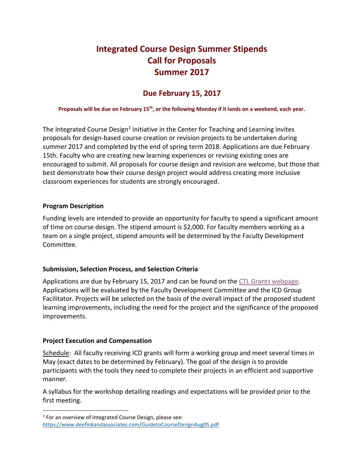# **Integrated Course Design Summer Stipends Call for Proposals Summer 2017**

# **Due February 15, 2017**

## **Proposals will be due on February 15th, or the following Monday if it lands on a weekend, each year.**

The Integrated Course Design<sup>1</sup> initiative in the Center for Teaching and Learning invites proposals for design-based course creation or revision projects to be undertaken during summer 2017 and completed by the end of spring term 2018. Applications are due February 15th. Faculty who are creating new learning experiences or revising existing ones are encouraged to submit. All proposals for course design and revision are welcome, but those that best demonstrate how their course design project would address creating more inclusive classroom experiences for students are strongly encouraged.

#### **Program Description**

Funding levels are intended to provide an opportunity for faculty to spend a significant amount of time on course design. The stipend amount is \$2,000. For faculty members working as a team on a single project, stipend amounts will be determined by the Faculty Development Committee.

## **Submission, Selection Process, and Selection Criteria**

Applications are due by February 15, 2017 and can be found on the [CTL Grants webpage.](http://inside.augsburg.edu/ctl/grant-applications/) Applications will be evaluated by the Faculty Development Committee and the ICD Group Facilitator. Projects will be selected on the basis of the overall impact of the proposed student learning improvements, including the need for the project and the significance of the proposed improvements.

#### **Project Execution and Compensation**

l

Schedule: All faculty receiving ICD grants will form a working group and meet several times in May (exact dates to be determined by February). The goal of the design is to provide participants with the tools they need to complete their projects in an efficient and supportive manner.

A syllabus for the workshop detailing readings and expectations will be provided prior to the first meeting.

<sup>&</sup>lt;sup>1</sup> For an overview of Integrated Course Design, please see: <https://www.deefinkandassociates.com/GuidetoCourseDesignAug05.pdf>